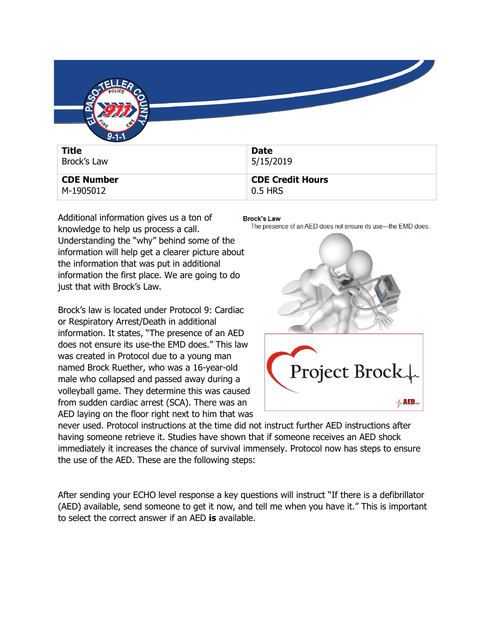

| <b>CDE Number</b> | <b>CDE Credit Hours</b> |
|-------------------|-------------------------|
| M-1905012         | 0.5 HRS                 |

Additional information gives us a ton of knowledge to help us process a call. Understanding the "why" behind some of the information will help get a clearer picture about the information that was put in additional information the first place. We are going to do just that with Brock's Law.

Brock's law is located under Protocol 9: Cardiac or Respiratory Arrest/Death in additional information. It states, "The presence of an AED does not ensure its use-the EMD does." This law was created in Protocol due to a young man named Brock Ruether, who was a 16-year-old male who collapsed and passed away during a volleyball game. They determine this was caused from sudden cardiac arrest (SCA). There was an AED laying on the floor right next to him that was

**Brock's Law** 

The presence of an AED does not ensure its use-the EMD does.



never used. Protocol instructions at the time did not instruct further AED instructions after having someone retrieve it. Studies have shown that if someone receives an AED shock immediately it increases the chance of survival immensely. Protocol now has steps to ensure the use of the AED. These are the following steps:

After sending your ECHO level response a key questions will instruct "If there is a defibrillator (AED) available, send someone to get it now, and tell me when you have it." This is important to select the correct answer if an AED **is** available.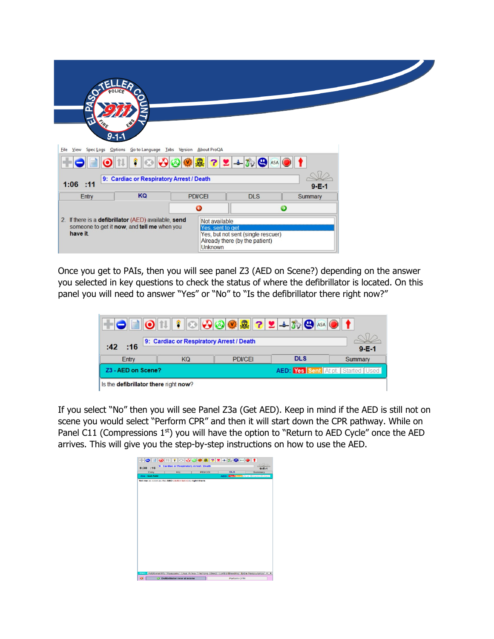| n<br>$\boldsymbol{\Omega}$               | $9 - 1 - 1$                                                                                         |                                                     |                                                                      |             |  |
|------------------------------------------|-----------------------------------------------------------------------------------------------------|-----------------------------------------------------|----------------------------------------------------------------------|-------------|--|
| <b>Eile</b><br>View<br>Spec Logs         | Options Go to Language Tabs Version About ProQA                                                     |                                                     |                                                                      |             |  |
| $22+50$<br>晃                             |                                                                                                     |                                                     |                                                                      |             |  |
| 9: Cardiac or Respiratory Arrest / Death |                                                                                                     |                                                     |                                                                      |             |  |
| $1:06$ :11                               |                                                                                                     |                                                     |                                                                      | $9 - E - 1$ |  |
| Entry                                    | KQ                                                                                                  | <b>PDI/CEI</b>                                      | <b>DLS</b>                                                           | Summary     |  |
|                                          |                                                                                                     | ◒                                                   |                                                                      | $\bullet$   |  |
| have it.                                 | 2. If there is a defibrillator (AED) available, send<br>someone to get it now, and tell me when you | Not available<br>Yes, sent to get<br><b>Unknown</b> | Yes, but not sent (single rescuer)<br>Already there (by the patient) |             |  |

Once you get to PAIs, then you will see panel Z3 (AED on Scene?) depending on the answer you selected in key questions to check the status of where the defibrillator is located. On this panel you will need to answer "Yes" or "No" to "Is the defibrillator there right now?"



If you select "No" then you will see Panel Z3a (Get AED). Keep in mind if the AED is still not on scene you would select "Perform CPR" and then it will start down the CPR pathway. While on Panel C11 (Compressions  $1<sup>st</sup>$ ) you will have the option to "Return to AED Cycle" once the AED arrives. This will give you the step-by-step instructions on how to use the AED.

|               | KQ |                                                            | <b>PDVCEI</b> | <b>DLS</b>                              | Summary |
|---------------|----|------------------------------------------------------------|---------------|-----------------------------------------|---------|
| Z3a - Get AED |    |                                                            |               | <b>AED:</b> Yes Sent Atota Started Used |         |
|               |    | Tell me as soon as the AED (defibrillator) is right there. |               |                                         |         |
|               |    |                                                            |               |                                         |         |
|               |    |                                                            |               |                                         |         |
|               |    |                                                            |               |                                         |         |
|               |    |                                                            |               |                                         |         |
|               |    |                                                            |               |                                         |         |
|               |    |                                                            |               |                                         |         |
|               |    |                                                            |               |                                         |         |
|               |    |                                                            |               |                                         |         |
|               |    |                                                            |               |                                         |         |
|               |    |                                                            |               |                                         |         |
|               |    |                                                            |               |                                         |         |
|               |    |                                                            |               |                                         |         |
|               |    |                                                            |               |                                         |         |
|               |    |                                                            |               |                                         |         |
|               |    |                                                            |               |                                         |         |
|               |    |                                                            |               |                                         |         |
|               |    |                                                            |               |                                         |         |
|               |    |                                                            |               |                                         |         |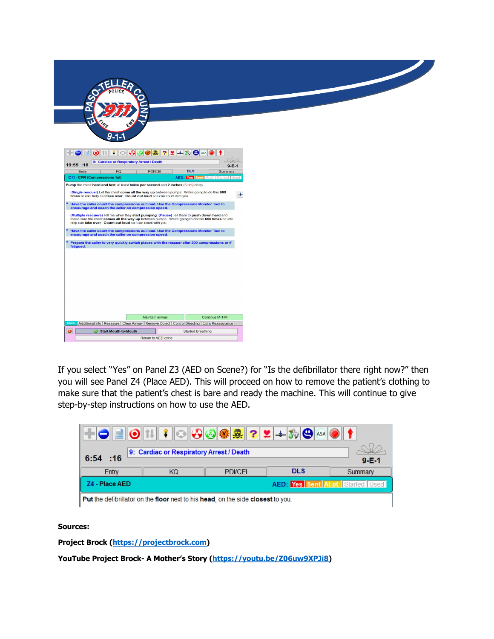| <b>SE</b>                                                                                                                                                                                                                                                        |                                                                                                                                                                                                                                                                                                                                                                                                                                                                                            |
|------------------------------------------------------------------------------------------------------------------------------------------------------------------------------------------------------------------------------------------------------------------|--------------------------------------------------------------------------------------------------------------------------------------------------------------------------------------------------------------------------------------------------------------------------------------------------------------------------------------------------------------------------------------------------------------------------------------------------------------------------------------------|
| $\blacksquare$<br>$+o$<br>9: Cardiac or Respiratory Arrest / Death                                                                                                                                                                                               | $\textcolor{blue}{\text{O[1]}} \textcolor{red}{\text{O[1]}} \textcolor{red}{\text{O[0]}} \textcolor{blue}{\text{O[0]}} \textcolor{blue}{\text{O[2]}} \textcolor{blue}{\text{O[2]}} \textcolor{blue}{\text{O[2]}} \textcolor{blue}{\text{O[2]}} \textcolor{blue}{\text{O[1]}} \textcolor{blue}{\text{O[1]}} \textcolor{blue}{\text{O[1]}} \textcolor{blue}{\text{O[1]}} \textcolor{blue}{\text{O[1]}} \textcolor{blue}{\text{O[1]}} \textcolor{blue}{\text{O[1]}} \textcolor{blue}{\text{O$ |
| 19:55 :16<br>Entry<br>KQ<br>C11 - CPR (Compressions 1st)                                                                                                                                                                                                         | $9 - E - 1$<br><b>DLS</b><br><b>PDVCEI</b><br>Summary<br><b>AED:</b> Yes Sent At pt. Started Used                                                                                                                                                                                                                                                                                                                                                                                          |
| Pump the chest hard and fast, at least twice per second and 2 inches (5 cm) deep.<br>(Single rescuer) Let the chest come all the way up between pumps. We're going to do this 600                                                                                | $\overline{\phantom{a}}$                                                                                                                                                                                                                                                                                                                                                                                                                                                                   |
| times or until help can take over. Count out loud so I can count with you.<br>Have the caller count the compressions out loud. Use the Compressions Monitor Tool to<br>encourage and coach the caller on compression speed.                                      |                                                                                                                                                                                                                                                                                                                                                                                                                                                                                            |
| (Multiple rescuers) Tell me when they start pumping. (Pause) Tell them to push down hard and<br>make sure the chest comes all the way up between pumps. We're going to do this 600 times or until<br>help can take over. Count out loud so I can count with you. |                                                                                                                                                                                                                                                                                                                                                                                                                                                                                            |
| Have the caller count the compressions out loud. Use the Compressions Monitor Tool to<br>encourage and coach the caller on compression speed.                                                                                                                    |                                                                                                                                                                                                                                                                                                                                                                                                                                                                                            |
| Prepare the caller to very quickly switch places with the rescuer after 200 compressions or if<br>fatiqued.                                                                                                                                                      |                                                                                                                                                                                                                                                                                                                                                                                                                                                                                            |
|                                                                                                                                                                                                                                                                  |                                                                                                                                                                                                                                                                                                                                                                                                                                                                                            |
|                                                                                                                                                                                                                                                                  |                                                                                                                                                                                                                                                                                                                                                                                                                                                                                            |
|                                                                                                                                                                                                                                                                  |                                                                                                                                                                                                                                                                                                                                                                                                                                                                                            |
|                                                                                                                                                                                                                                                                  |                                                                                                                                                                                                                                                                                                                                                                                                                                                                                            |
|                                                                                                                                                                                                                                                                  |                                                                                                                                                                                                                                                                                                                                                                                                                                                                                            |
| Main Additional Info Reassure Clear Airway Remove Object Control Bleeding Extra Reassurance                                                                                                                                                                      | Continue M-T-M<br>Maintain airway                                                                                                                                                                                                                                                                                                                                                                                                                                                          |
| $\bullet$<br>Start Mouth-to-Mouth                                                                                                                                                                                                                                |                                                                                                                                                                                                                                                                                                                                                                                                                                                                                            |
|                                                                                                                                                                                                                                                                  | <b>Started Breathing</b>                                                                                                                                                                                                                                                                                                                                                                                                                                                                   |

If you select "Yes" on Panel Z3 (AED on Scene?) for "Is the defibrillator there right now?" then you will see Panel Z4 (Place AED). This will proceed on how to remove the patient's clothing to make sure that the patient's chest is bare and ready the machine. This will continue to give step-by-step instructions on how to use the AED.

| 9: Cardiac or Respiratory Arrest / Death |    |                |            |                                          |
|------------------------------------------|----|----------------|------------|------------------------------------------|
| $6:54$ :16                               |    |                |            | $9 - E - 1$                              |
| Entry                                    | KQ | <b>PDI/CFI</b> | <b>DLS</b> | Summary                                  |
| Z4 - Place AED                           |    |                |            | <b>AED: Yes Sent At pt. Started Used</b> |

**Sources:** 

**Project Brock [\(https://projectbrock.com\)](https://projectbrock.com/)**

**YouTube Project Brock- A Mother's Story [\(https://youtu.be/Z06uw9XPJi8\)](https://youtu.be/Z06uw9XPJi8)**